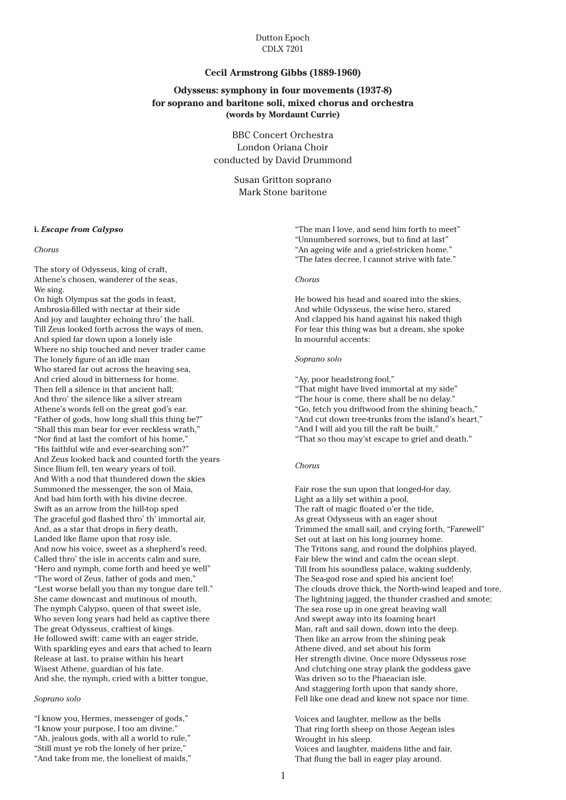# Dutton Epoch CDLX 7201

# **Cecil Armstrong Gibbs (1889-1960)**

# **Odysseus: symphony in four movements (1937-8) for soprano and baritone soli, mixed chorus and orchestra (words by Mordaunt Currie)**

BBC Concert Orchestra London Oriana Choir conducted by David Drummond

> Susan Gritton soprano Mark Stone baritone

#### **i.** *Escape from Calypso*

#### *Chorus*

The story of Odysseus, king of craft, Athene's chosen, wanderer of the seas, We sing.

On high Olympus sat the gods in feast, Ambrosia-filled with nectar at their side And joy and laughter echoing thro' the hall. Till Zeus looked forth across the ways of men, And spied far down upon a lonely isle Where no ship touched and never trader came The lonely figure of an idle man Who stared far out across the heaving sea, And cried aloud in bitterness for home. Then fell a silence in that ancient hall; And thro' the silence like a silver stream Athene's words fell on the great god's ear. "Father of gods, how long shall this thing be?" "Shall this man bear for ever reckless wrath," "Nor find at last the comfort of his home," "His faithful wife and ever-searching son?" And Zeus looked back and counted forth the years Since Ilium fell, ten weary years of toil. And With a nod that thundered down the skies Summoned the messenger, the son of Maia, And bad him forth with his divine decree. Swift as an arrow from the hill-top sped The graceful god flashed thro' th' immortal air, And, as a star that drops in fiery death, Landed like flame upon that rosy isle. And now his voice, sweet as a shepherd's reed, Called thro' the isle in accents calm and sure, "Hero and nymph, come forth and heed ye well" "The word of Zeus, father of gods and men," "Lest worse befall you than my tongue dare tell." She came downcast and mutinous of mouth, The nymph Calypso, queen of that sweet isle, Who seven long years had held as captive there The great Odysseus, craftiest of kings. He followed swift: came with an eager stride, With sparkling eyes and ears that ached to learn Release at last, to praise within his heart Wisest Athene, guardian of his fate. And she, the nymph, cried with a bitter tongue,

## *Soprano solo*

"I know you, Hermes, messenger of gods," "I know your purpose, I too am divine." "Ah, jealous gods, with all a world to rule," "Still must ye rob the lonely of her prize," "And take from me, the loneliest of maids," "The man I love, and send him forth to meet" "Unnumbered sorrows, but to find at last" "An ageing wife and a grief-stricken home." "The fates decree, I cannot strive with fate."

#### *Chorus*

He bowed his head and soared into the skies, And while Odysseus, the wise hero, stared And clapped his hand against his naked thigh For fear this thing was but a dream, she spoke In mournful accents:

## *Soprano solo*

"Ay, poor headstrong fool,"

- "That might have lived immortal at my side"
- "The hour is come, there shall be no delay."
- "Go, fetch you driftwood from the shining beach,"
- "And cut down tree-trunks from the island's heart,"
- "And I will aid you till the raft be built,"
- "That so thou may'st escape to grief and death."

#### *Chorus*

Fair rose the sun upon that longed-for day, Light as a lily set within a pool, The raft of magic floated o'er the tide, As great Odysseus with an eager shout Trimmed the small sail, and crying forth, "Farewell" Set out at last on his long journey home. The Tritons sang, and round the dolphins played, Fair blew the wind and calm the ocean slept. Till from his soundless palace, waking suddenly, The Sea-god rose and spied his ancient foe! The clouds drove thick, the North-wind leaped and tore, The lightning jagged, the thunder crashed and smote; The sea rose up in one great heaving wall And swept away into its foaming heart Man, raft and sail down, down into the deep. Then like an arrow from the shining peak Athene dived, and set about his form Her strength divine. Once more Odysseus rose And clutching one stray plank the goddess gave Was driven so to the Phaeacian isle. And staggering forth upon that sandy shore, Fell like one dead and knew not space nor time.

Voices and laughter, mellow as the bells That ring forth sheep on those Aegean isles Wrought in his sleep. Voices and laughter, maidens lithe and fair, That flung the ball in eager play around.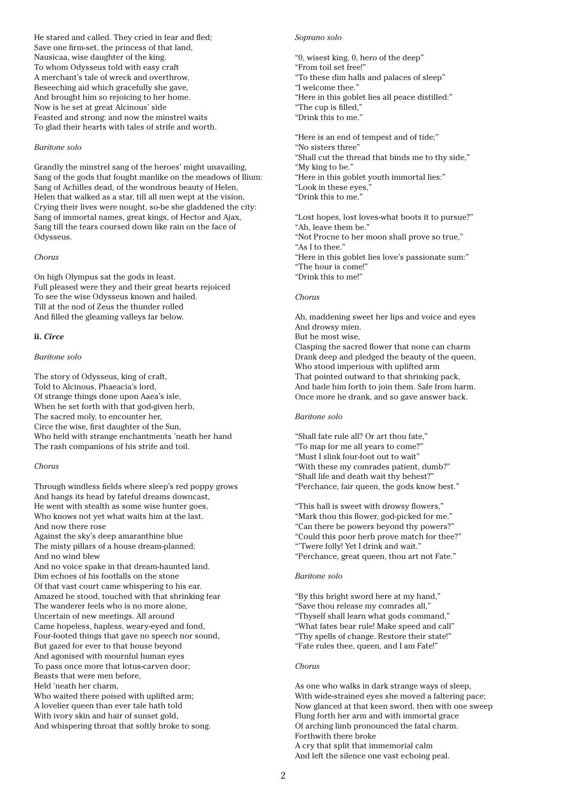He stared and called. They cried in fear and fled; Save one firm-set, the princess of that land, Nausicaa, wise daughter of the king. To whom Odysseus told with easy craft A merchant's tale of wreck and overthrow, Beseeching aid which gracefully she gave, And brought him so rejoicing to her home. Now is he set at great Alcinous' side Feasted and strong: and now the minstrel waits To glad their hearts with tales of strife and worth.

# *Baritone solo*

Grandly the minstrel sang of the heroes' might unavailing, Sang of the gods that fought manlike on the meadows of Ilium: Sang of Achilles dead, of the wondrous beauty of Helen, Helen that walked as a star, till all men wept at the vision, Crying their lives were nought, so-be she gladdened the city: Sang of immortal names, great kings, of Hector and Ajax, Sang till the tears coursed down like rain on the face of Odysseus.

## *Chorus*

On high Olympus sat the gods in feast. Full pleased were they and their great hearts rejoiced To see the wise Odysseus known and hailed. Till at the nod of Zeus the thunder rolled And filled the gleaming valleys far below.

# **ii.** *Circe*

# *Baritone solo*

The story of Odysseus, king of craft, Told to Alcinous, Phaeacia's lord, Of strange things done upon Aaea's isle, When he set forth with that god-given herb, The sacred moly, to encounter her, Circe the wise, first daughter of the Sun, Who held with strange enchantments 'neath her hand The rash companions of his strife and toil.

#### *Chorus*

Through windless fields where sleep's red poppy grows And hangs its head by fateful dreams downcast, He went with stealth as some wise hunter goes, Who knows not yet what waits him at the last. And now there rose Against the sky's deep amaranthine blue The misty pillars of a house dream-planned: And no wind blew And no voice spake in that dream-haunted land. Dim echoes of his footfalls on the stone Of that vast court came whispering to his ear. Amazed he stood, touched with that shrinking fear The wanderer feels who is no more alone, Uncertain of new meetings. All around Came hopeless, hapless, weary-eyed and fond, Four-footed things that gave no speech nor sound, But gazed for ever to that house beyond And agonised with mournful human eyes To pass once more that lotus-carven door; Beasts that were men before, Held 'neath her charm, Who waited there poised with uplifted arm; A lovelier queen than ever tale hath told With ivory skin and hair of sunset gold, And whispering throat that softly broke to song.

# *Soprano solo*

"0, wisest king, 0, hero of the deep" "From toil set free!" "To these dim halls and palaces of sleep" "I welcome thee." "Here in this goblet lies all peace distilled:" "The cup is filled," "Drink this to me."

"Here is an end of tempest and of tide;" "No sisters three" "Shall cut the thread that binds me to thy side," "My king to be." "Here in this goblet youth immortal lies:" "Look in these eyes," "Drink this to me."

"Lost hopes, lost loves-what boots it to pursue?" "Ah, leave them be." "Not Procne to her moon shall prove so true," "As I to thee." "Here in this goblet lies love's passionate sum:" "The hour is come!" "Drink this to me!"

# *Chorus*

Ah, maddening sweet her lips and voice and eyes And drowsy mien.

But he most wise,

Clasping the sacred flower that none can charm Drank deep and pledged the beauty of the queen, Who stood imperious with uplifted arm That pointed outward to that shrinking pack, And bade him forth to join them. Safe from harm. Once more he drank, and so gave answer back.

#### *Baritone solo*

"Shall fate rule all? Or art thou fate," "To map for me all years to come?" "Must I slink four-foot out to wait" "With these my comrades patient, dumb?" "Shall life and death wait thy behest?" "Perchance, fair queen, the gods know best."

"This hall is sweet with drowsy flowers," "Mark thou this flower, god-picked for me." "Can there be powers beyond thy powers?" "Could this poor herb prove match for thee?" "'Twere folly! Yet I drink and wait." "Perchance, great queen, thou art not Fate."

# *Baritone solo*

"By this bright sword here at my hand," "Save thou release my comrades all," "Thyself shall learn what gods command," "What fates bear rule! Make speed and call" "Thy spells of change. Restore their state!" "Fate rules thee, queen, and I am Fate!"

#### *Chorus*

As one who walks in dark strange ways of sleep, With wide-strained eyes she moved a faltering pace; Now glanced at that keen sword, then with one sweep Flung forth her arm and with immortal grace Of arching limb pronounced the fatal charm. Forthwith there broke A cry that split that immemorial calm And left the silence one vast echoing peal.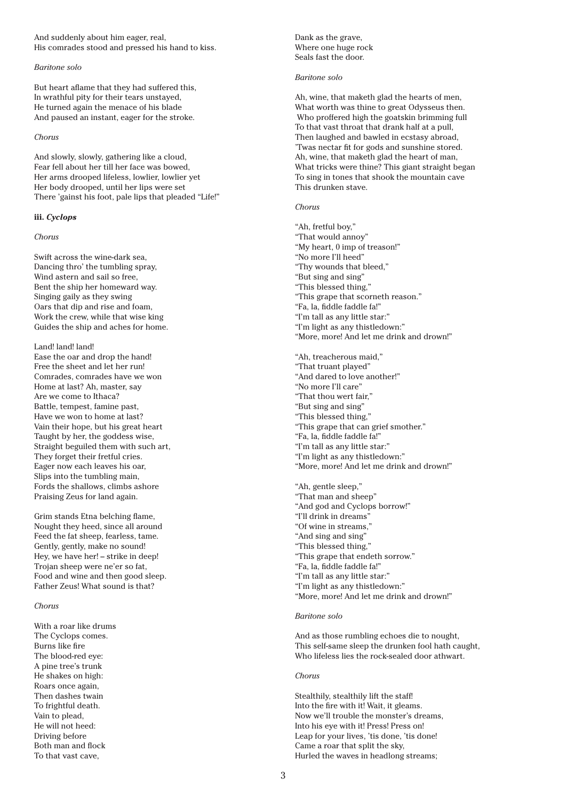And suddenly about him eager, real, His comrades stood and pressed his hand to kiss.

# *Baritone solo*

But heart aflame that they had suffered this, In wrathful pity for their tears unstayed, He turned again the menace of his blade And paused an instant, eager for the stroke.

# *Chorus*

And slowly, slowly, gathering like a cloud, Fear fell about her till her face was bowed, Her arms drooped lifeless, lowlier, lowlier yet Her body drooped, until her lips were set There 'gainst his foot, pale lips that pleaded "Life!"

# **iii.** *Cyclops*

## *Chorus*

Swift across the wine-dark sea, Dancing thro' the tumbling spray, Wind astern and sail so free, Bent the ship her homeward way. Singing gaily as they swing Oars that dip and rise and foam, Work the crew, while that wise king Guides the ship and aches for home.

# Land! land! land!

Ease the oar and drop the hand! Free the sheet and let her run! Comrades, comrades have we won Home at last? Ah, master, say Are we come to Ithaca? Battle, tempest, famine past, Have we won to home at last? Vain their hope, but his great heart Taught by her, the goddess wise, Straight beguiled them with such art, They forget their fretful cries. Eager now each leaves his oar, Slips into the tumbling main, Fords the shallows, climbs ashore Praising Zeus for land again.

Grim stands Etna belching flame, Nought they heed, since all around Feed the fat sheep, fearless, tame. Gently, gently, make no sound! Hey, we have her! – strike in deep! Trojan sheep were ne'er so fat, Food and wine and then good sleep. Father Zeus! What sound is that?

# *Chorus*

With a roar like drums The Cyclops comes. Burns like fire The blood-red eye: A pine tree's trunk He shakes on high: Roars once again, Then dashes twain To frightful death. Vain to plead, He will not heed: Driving before Both man and flock To that vast cave,

Dank as the grave, Where one huge rock Seals fast the door.

# *Baritone solo*

Ah, wine, that maketh glad the hearts of men, What worth was thine to great Odysseus then. Who proffered high the goatskin brimming full To that vast throat that drank half at a pull, Then laughed and bawled in ecstasy abroad, 'Twas nectar fit for gods and sunshine stored. Ah, wine, that maketh glad the heart of man, What tricks were thine? This giant straight began To sing in tones that shook the mountain cave This drunken stave.

## *Chorus*

"Ah, fretful boy," "That would annoy" "My heart, 0 imp of treason!" "No more I'll heed" "Thy wounds that bleed," "But sing and sing" "This blessed thing," "This grape that scorneth reason." "Fa, la, fiddle faddle fa!" "I'm tall as any little star:" "I'm light as any thistledown:" "More, more! And let me drink and drown!"

"Ah, treacherous maid," "That truant played" "And dared to love another!" "No more I'll care" "That thou wert fair," "But sing and sing" "This blessed thing," "This grape that can grief smother." "Fa, la, fiddle faddle fa!" "I'm tall as any little star:" "I'm light as any thistledown:" "More, more! And let me drink and drown!"

"Ah, gentle sleep," "That man and sheep" "And god and Cyclops borrow!" "I'll drink in dreams" "Of wine in streams," "And sing and sing" "This blessed thing," "This grape that endeth sorrow." "Fa, la, fiddle faddle fa!" "I'm tall as any little star:" "I'm light as any thistledown:" "More, more! And let me drink and drown!"

## *Baritone solo*

And as those rumbling echoes die to nought, This self-same sleep the drunken fool hath caught, Who lifeless lies the rock-sealed door athwart.

## *Chorus*

Stealthily, stealthily lift the staff! Into the fire with it! Wait, it gleams. Now we'll trouble the monster's dreams, Into his eye with it! Press! Press on! Leap for your lives, 'tis done, 'tis done! Came a roar that split the sky, Hurled the waves in headlong streams;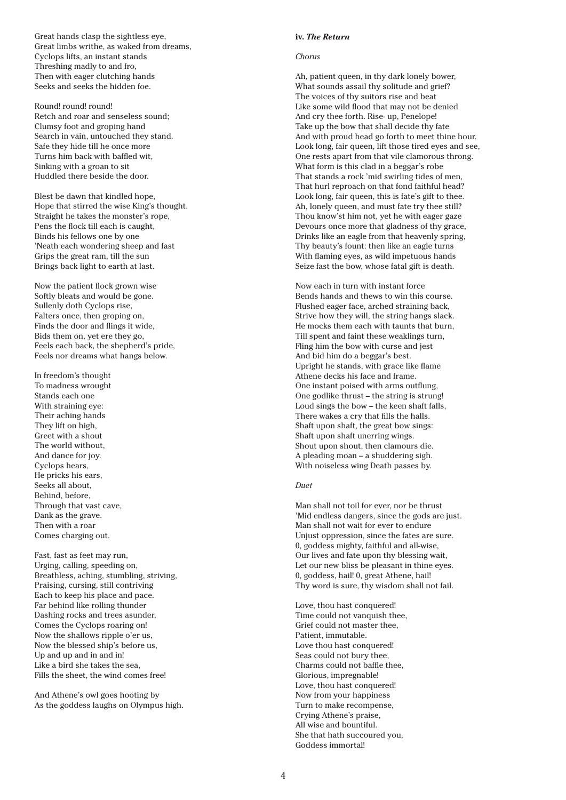Great hands clasp the sightless eye, Great limbs writhe, as waked from dreams, Cyclops lifts, an instant stands Threshing madly to and fro, Then with eager clutching hands Seeks and seeks the hidden foe.

Round! round! round! Retch and roar and senseless sound; Clumsy foot and groping hand Search in vain, untouched they stand. Safe they hide till he once more Turns him back with baffled wit, Sinking with a groan to sit Huddled there beside the door.

Blest be dawn that kindled hope, Hope that stirred the wise King's thought. Straight he takes the monster's rope, Pens the flock till each is caught, Binds his fellows one by one 'Neath each wondering sheep and fast Grips the great ram, till the sun Brings back light to earth at last.

Now the patient flock grown wise Softly bleats and would be gone. Sullenly doth Cyclops rise, Falters once, then groping on, Finds the door and flings it wide, Bids them on, yet ere they go, Feels each back, the shepherd's pride, Feels nor dreams what hangs below.

In freedom's thought To madness wrought Stands each one With straining eye: Their aching hands They lift on high, Greet with a shout The world without, And dance for joy. Cyclops hears, He pricks his ears, Seeks all about, Behind, before, Through that vast cave, Dank as the grave. Then with a roar Comes charging out.

Fast, fast as feet may run, Urging, calling, speeding on, Breathless, aching, stumbling, striving, Praising, cursing, still contriving Each to keep his place and pace. Far behind like rolling thunder Dashing rocks and trees asunder, Comes the Cyclops roaring on! Now the shallows ripple o'er us, Now the blessed ship's before us, Up and up and in and in! Like a bird she takes the sea, Fills the sheet, the wind comes free!

And Athene's owl goes hooting by As the goddess laughs on Olympus high.

#### **iv.** *The Return*

## *Chorus*

Ah, patient queen, in thy dark lonely bower, What sounds assail thy solitude and grief? The voices of thy suitors rise and beat Like some wild flood that may not be denied And cry thee forth. Rise- up, Penelope! Take up the bow that shall decide thy fate And with proud head go forth to meet thine hour. Look long, fair queen, lift those tired eyes and see, One rests apart from that vile clamorous throng. What form is this clad in a beggar's robe That stands a rock 'mid swirling tides of men, That hurl reproach on that fond faithful head? Look long, fair queen, this is fate's gift to thee. Ah, lonely queen, and must fate try thee still? Thou know'st him not, yet he with eager gaze Devours once more that gladness of thy grace, Drinks like an eagle from that heavenly spring, Thy beauty's fount: then like an eagle turns With flaming eyes, as wild impetuous hands Seize fast the bow, whose fatal gift is death.

Now each in turn with instant force Bends hands and thews to win this course. Flushed eager face, arched straining back, Strive how they will, the string hangs slack. He mocks them each with taunts that burn, Till spent and faint these weaklings turn, Fling him the bow with curse and jest And bid him do a beggar's best. Upright he stands, with grace like flame Athene decks his face and frame. One instant poised with arms outflung, One godlike thrust – the string is strung! Loud sings the bow – the keen shaft falls, There wakes a cry that fills the halls. Shaft upon shaft, the great bow sings: Shaft upon shaft unerring wings. Shout upon shout, then clamours die. A pleading moan – a shuddering sigh. With noiseless wing Death passes by.

# *Duet*

Man shall not toil for ever, nor be thrust 'Mid endless dangers, since the gods are just. Man shall not wait for ever to endure Unjust oppression, since the fates are sure. 0, goddess mighty, faithful and all-wise, Our lives and fate upon thy blessing wait, Let our new bliss be pleasant in thine eyes. 0, goddess, hail! 0, great Athene, hail! Thy word is sure, thy wisdom shall not fail.

Love, thou hast conquered! Time could not vanquish thee, Grief could not master thee, Patient, immutable. Love thou hast conquered! Seas could not bury thee, Charms could not baffle thee, Glorious, impregnable! Love, thou hast conquered! Now from your happiness Turn to make recompense, Crying Athene's praise, All wise and bountiful. She that hath succoured you, Goddess immortal!